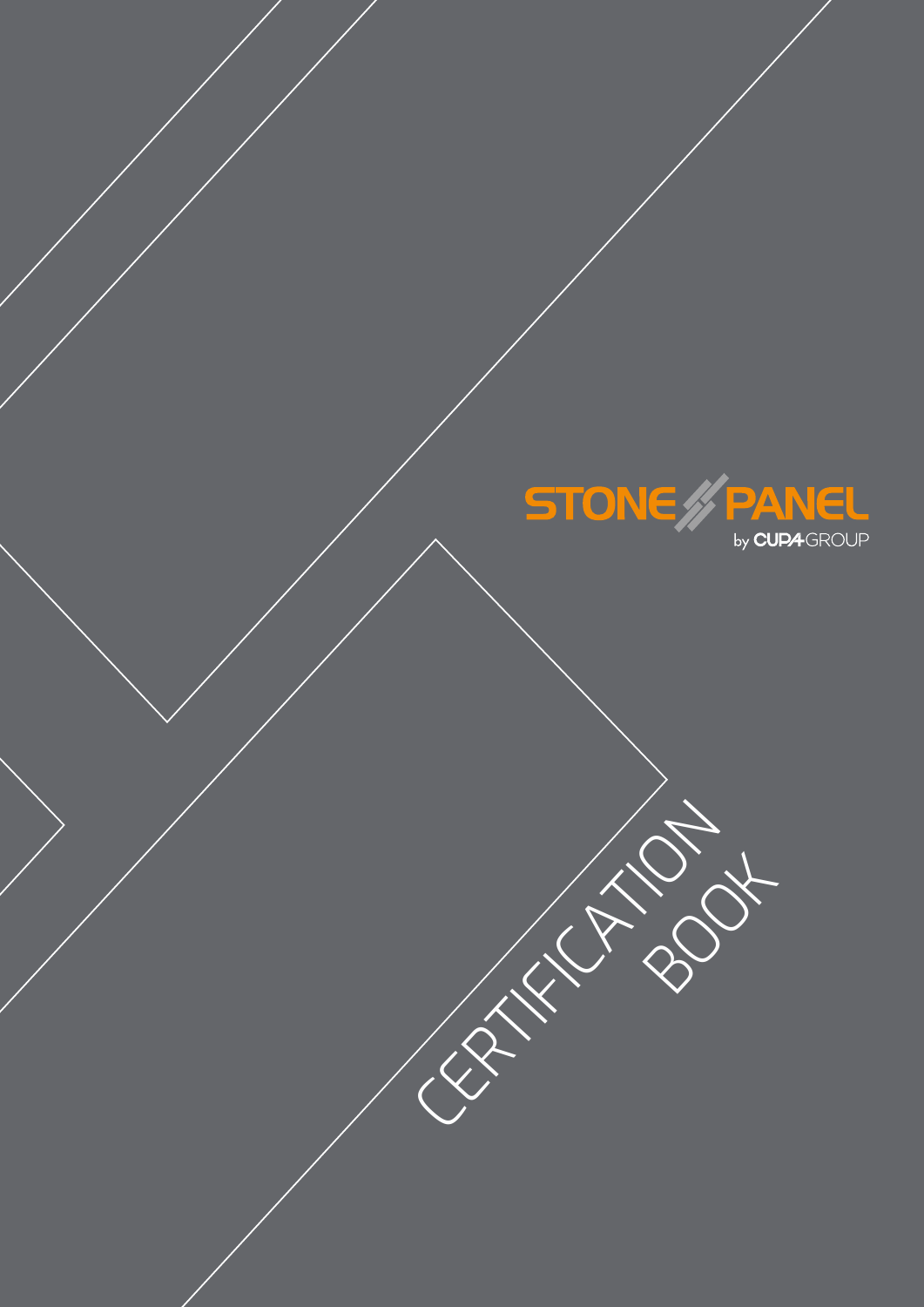

BOOK

CERTIFICATION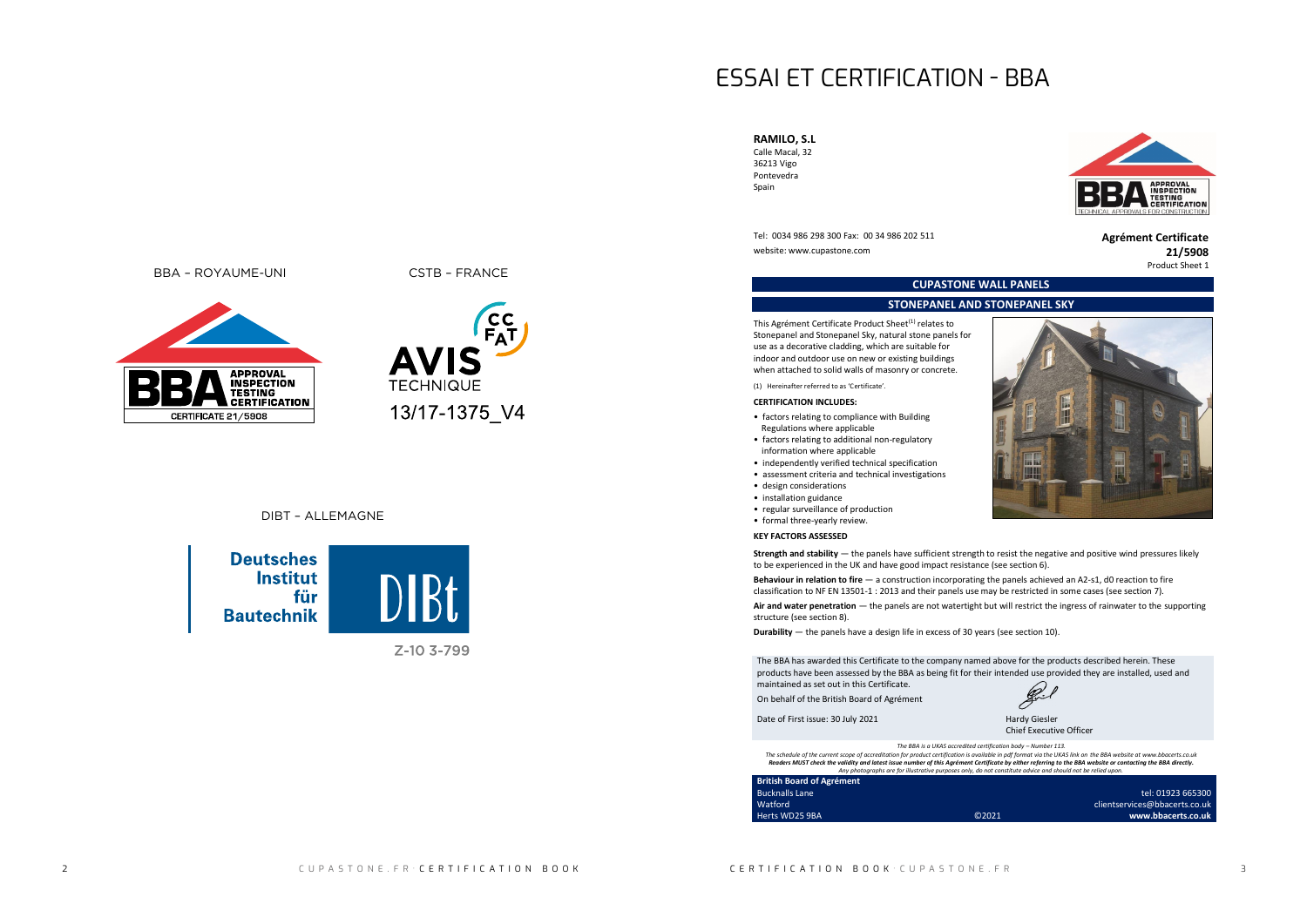# ESSAI ET CERTIFICATION - BBA





Z-10 3-799

Tel: 0034 986 298 300 Fax: 00 34 986 202 511 **Agrément Certificate** website: www.cupastone.com **21/5908** 

### **RAMILO, S.L** Calle Macal, 32

36213 Vigo Pontevedra Spain

# Product Sheet 1

**CUPASTONE WALL PANELS**



This Agrément Certificate Product Sheet<sup>(1)</sup> relates to Stonepanel and Stonepanel Sky, natural stone panels for use as a decorative cladding, which are suitable for indoor and outdoor use on new or existing buildings when attached to solid walls of masonry or concrete.

### **STONEPANEL AND STONEPANEL SKY**

(1) Hereinafter referred to as 'Certificate'.

## **CERTIFICATION INCLUDES:**

- factors relating to compliance with Building Regulations where applicable
- factors relating to additional non-regulatory information where applicable
- independently verified technical specification
- assessment criteria and technical investigations
- design considerations
- installation guidance
- regular surveillance of production
- formal three-yearly review.

## **KEY FACTORS ASSESSED**

**Strength and stability** — the panels have sufficient strength to resist the negative and positive wind pressures likely to be experienced in the UK and have good impact resistance (see section 6).

**Behaviour in relation to fire** — a construction incorporating the panels achieved an A2-s1, d0 reaction to fire classification to NF EN 13501-1 : 2013 and their panels use may be restricted in some cases (see section 7).





**Air and water penetration** — the panels are not watertight but will restrict the ingress of rainwater to the supporting structure (see section 8).

**Durability** — the panels have a design life in excess of 30 years (see section 10).

The BBA has awarded this Certificate to the company named above for the products described herein. These products have been assessed by the BBA as being fit for their intended use provided they are installed, used and maintained as set out in this Certificate.

On behalf of the British Board of Agrément

Date of First issue: 30 July 2021 Hardy Giesler

Chief Executive Officer

### *The BBA is a UKAS accredited certification body – Number 113.*

*The schedule of the current scope of accreditation for product certification is available in pdf format via the UKAS link on the BBA website at www.bbacerts.co.uk Readers MUST check the validity and latest issue number of this Agrément Certificate by either referring to the BBA website or contacting the BBA directly. Any photographs are for illustrative purposes only, do not constitute advice and should not be relied upon.*

### **British Board of Agrément** Bucknalls Lane Watford

Herts WD25 9BA ©2021

BBA – ROYAUME-UNI CSTB – FRANCE



**TFCHNIQUE** 

13/17-1375\_V4

tel: 01923 665300 clientservices@bbacerts.co.uk **www.bbacerts.co.uk**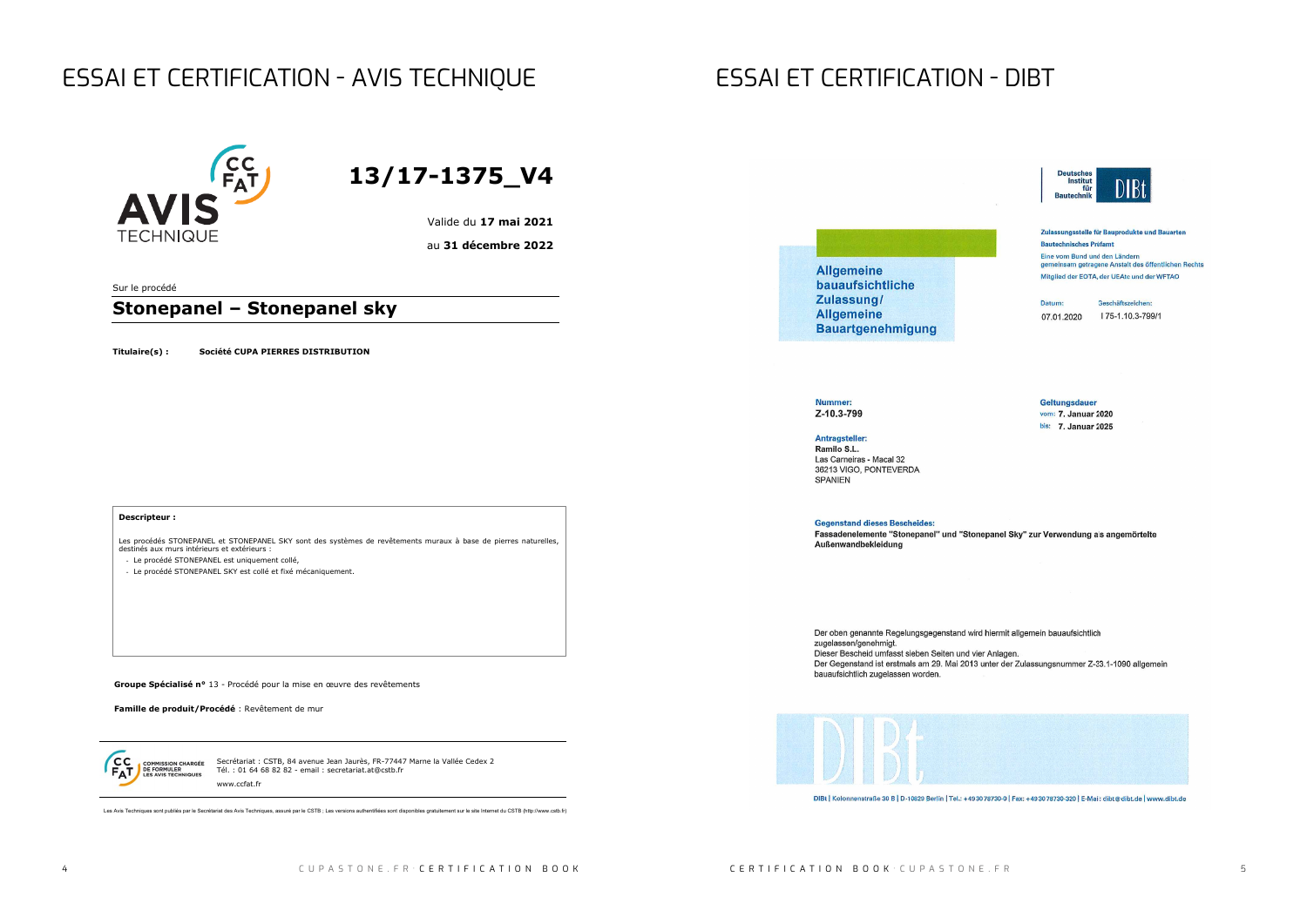# ESSAI ET CERTIFICATION - AVIS TECHNIQUE ESSAI ET CERTIFICATION - DIBT



Secrétariat : CSTB, 84 avenue Jean Jaurès, FR-77447 Marne la Vallée Cedex 2 Tél. : 01 64 68 82 82 - email : secretariat.at@cstb.fr www.ccfat.fr

Les Avis Techniques sont publiés par le Secrétariat des Avis Techniques, assuré par le CSTB ; Les versions authentifiées sont disponibles gratuitement sur le site Internet du CSTB (http://www.cstb.fr)

**Gegenstand dieses Bescheides:** Fassadenelemente "Stonepanel" und "Stonepanel Sky" zur Verwendung als angemörtelte Außenwandbekleidung

Der oben genannte Regelungsgegenstand wird hiermit allgemein bauaufsichtlich zugelassen/genehmigt. Dieser Bescheid umfasst sieben Seiten und vier Anlagen. Der Gegenstand ist erstmals am 29. Mai 2013 unter der Zulassungsnummer Z-33.1-1090 allgemein bauaufsichtlich zugelassen worden.



DIBt | Kolonnenstraße 30 B | D-10829 Berlin | Tel.: +49 30 78730-0 | Fax: +49 30 78730-320 | E-Mail: dibt@dibt.de | www.dibt.de



Zulassungsstelle für Bauprodukte und Bauarten **Bautechnisches Prüfamt** Eine vom Bund und den Ländern gemeinsam getragene Anstalt des öffentlichen Rechts Mitglied der EOTA, der UEAtc und der WFTAO

Datum: 07.01.2020

Geschäftszeichen: I 75-1.10.3-799/1

**Geltungsdauer** vom: 7. Januar 2020 bis: 7. Januar 2025

**13/17-1375\_V4**

Valide du **17 mai 2021**

au **31 décembre 2022**

Sur le procédé

## **Stonepanel – Stonepanel sky**

**Titulaire(s) : Société CUPA PIERRES DISTRIBUTION**

**Allgemeine** bauaufsichtliche Zulassung/ **Allgemeine Bauartgenehmigung** 

### **Nummer:** Z-10.3-799

Antragsteller: Ramilo S.L. Las Carneiras - Macal 32 36213 VIGO, PONTEVERDA **SPANIEN** 

**Groupe Spécialisé n°** 13 - Procédé pour la mise en œuvre des revêtements

**Famille de produit/Procédé** : Revêtement de mur

 $cc$ **COMMISSION CHARGÉE<br>DE FORMULER<br>LES AVIS TECHNIQUES** 

### **Descripteur :**

Les procédés STONEPANEL et STONEPANEL SKY sont des systèmes de revêtements muraux à base de pierres naturelles, destinés aux murs intérieurs et extérieurs :

- Le procédé STONEPANEL est uniquement collé,
- Le procédé STONEPANEL SKY est collé et fixé mécaniquement.